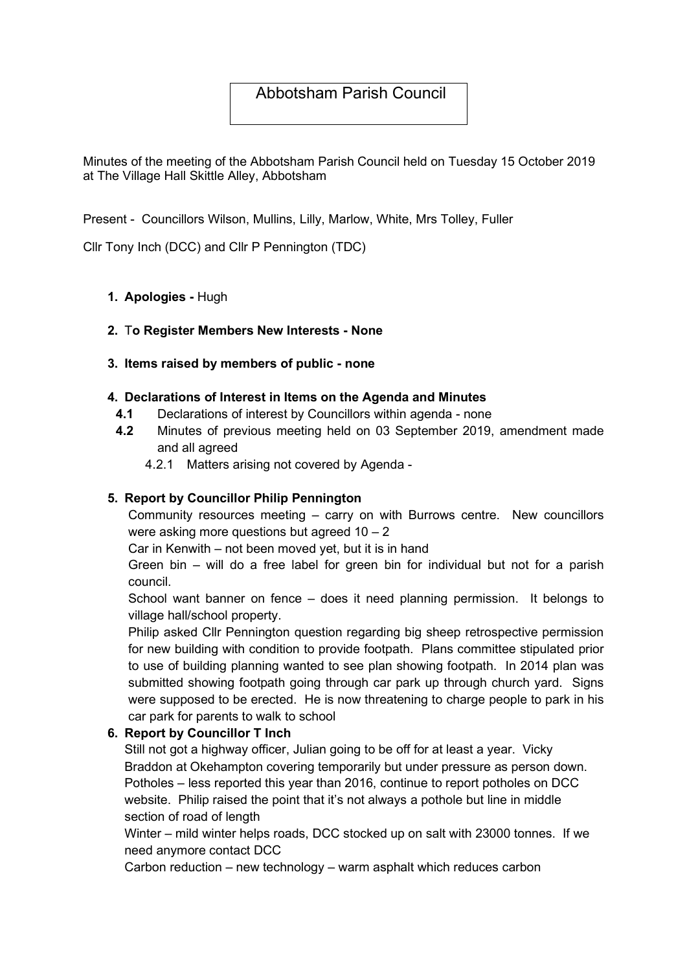# Abbotsham Parish Council

Minutes of the meeting of the Abbotsham Parish Council held on Tuesday 15 October 2019 at The Village Hall Skittle Alley, Abbotsham

Present - Councillors Wilson, Mullins, Lilly, Marlow, White, Mrs Tolley, Fuller

Cllr Tony Inch (DCC) and Cllr P Pennington (TDC)

### 1. Apologies - Hugh

### 2. To Register Members New Interests - None

#### 3. Items raised by members of public - none

### 4. Declarations of Interest in Items on the Agenda and Minutes

- 4.1 Declarations of interest by Councillors within agenda none
- 4.2 Minutes of previous meeting held on 03 September 2019, amendment made and all agreed
	- 4.2.1 Matters arising not covered by Agenda -

#### 5. Report by Councillor Philip Pennington

Community resources meeting – carry on with Burrows centre. New councillors were asking more questions but agreed  $10 - 2$ 

Car in Kenwith – not been moved yet, but it is in hand

Green bin – will do a free label for green bin for individual but not for a parish council.

School want banner on fence – does it need planning permission. It belongs to village hall/school property.

Philip asked Cllr Pennington question regarding big sheep retrospective permission for new building with condition to provide footpath. Plans committee stipulated prior to use of building planning wanted to see plan showing footpath. In 2014 plan was submitted showing footpath going through car park up through church yard. Signs were supposed to be erected. He is now threatening to charge people to park in his car park for parents to walk to school

### 6. Report by Councillor T Inch

Still not got a highway officer, Julian going to be off for at least a year. Vicky Braddon at Okehampton covering temporarily but under pressure as person down. Potholes – less reported this year than 2016, continue to report potholes on DCC website. Philip raised the point that it's not always a pothole but line in middle section of road of length

Winter – mild winter helps roads, DCC stocked up on salt with 23000 tonnes. If we need anymore contact DCC

Carbon reduction – new technology – warm asphalt which reduces carbon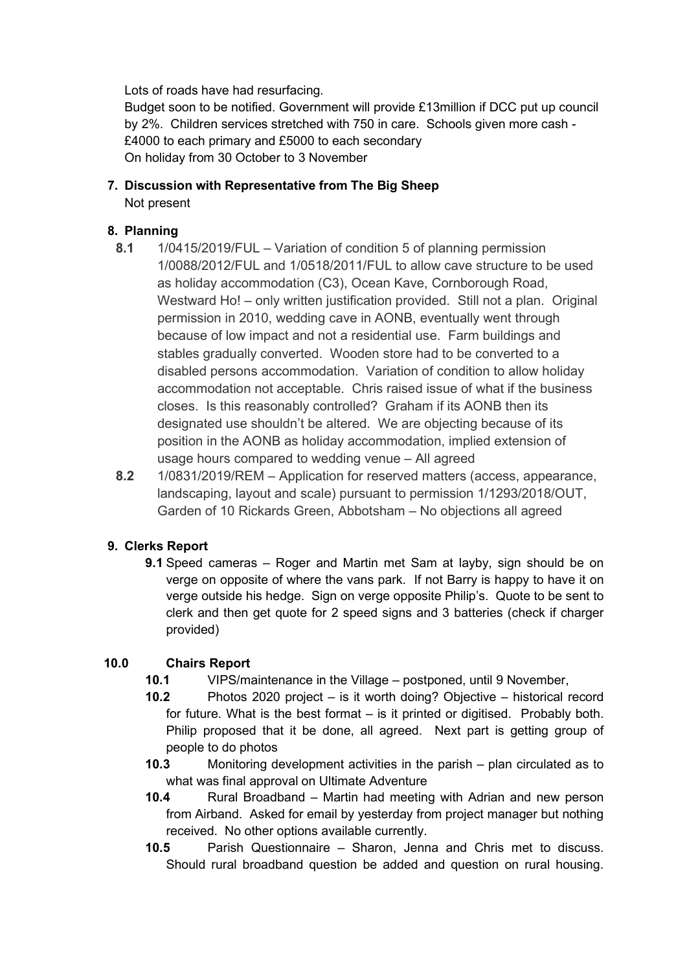Lots of roads have had resurfacing.

Budget soon to be notified. Government will provide £13million if DCC put up council by 2%. Children services stretched with 750 in care. Schools given more cash - £4000 to each primary and £5000 to each secondary On holiday from 30 October to 3 November

7. Discussion with Representative from The Big Sheep Not present

## 8. Planning

- 8.1 1/0415/2019/FUL Variation of condition 5 of planning permission 1/0088/2012/FUL and 1/0518/2011/FUL to allow cave structure to be used as holiday accommodation (C3), Ocean Kave, Cornborough Road, Westward Ho! – only written justification provided. Still not a plan. Original permission in 2010, wedding cave in AONB, eventually went through because of low impact and not a residential use. Farm buildings and stables gradually converted. Wooden store had to be converted to a disabled persons accommodation. Variation of condition to allow holiday accommodation not acceptable. Chris raised issue of what if the business closes. Is this reasonably controlled? Graham if its AONB then its designated use shouldn't be altered. We are objecting because of its position in the AONB as holiday accommodation, implied extension of usage hours compared to wedding venue – All agreed
- 8.2 1/0831/2019/REM Application for reserved matters (access, appearance, landscaping, layout and scale) pursuant to permission 1/1293/2018/OUT, Garden of 10 Rickards Green, Abbotsham – No objections all agreed

# 9. Clerks Report

9.1 Speed cameras – Roger and Martin met Sam at layby, sign should be on verge on opposite of where the vans park. If not Barry is happy to have it on verge outside his hedge. Sign on verge opposite Philip's. Quote to be sent to clerk and then get quote for 2 speed signs and 3 batteries (check if charger provided)

# 10.0 Chairs Report

- 10.1 VIPS/maintenance in the Village postponed, until 9 November,
- 10.2 Photos 2020 project is it worth doing? Objective historical record for future. What is the best format – is it printed or digitised. Probably both. Philip proposed that it be done, all agreed. Next part is getting group of people to do photos
- 10.3 Monitoring development activities in the parish plan circulated as to what was final approval on Ultimate Adventure
- 10.4 Rural Broadband Martin had meeting with Adrian and new person from Airband. Asked for email by yesterday from project manager but nothing received. No other options available currently.
- 10.5 Parish Questionnaire Sharon, Jenna and Chris met to discuss. Should rural broadband question be added and question on rural housing.